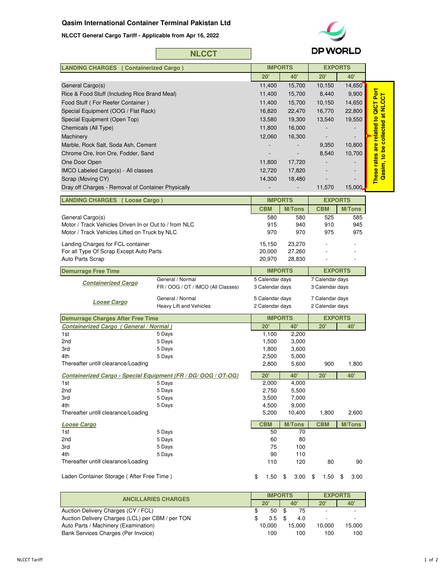## **Qasim International Container Terminal Pakistan Ltd**

**NLCCT General Cargo Tariff - Applicable from Apr 16, 2022**



| <b>NLCCT</b> |
|--------------|
|--------------|

|                                                                                                        | <b>NLCCT</b>                       | <b>DP WORLD</b> |                |                 |                |                                                                         |
|--------------------------------------------------------------------------------------------------------|------------------------------------|-----------------|----------------|-----------------|----------------|-------------------------------------------------------------------------|
| <b>LANDING CHARGES (Containerized Cargo)</b>                                                           |                                    | <b>IMPORTS</b>  |                | <b>EXPORTS</b>  |                |                                                                         |
|                                                                                                        |                                    | 20'             | <b>40'</b>     | 20'             | 40'            |                                                                         |
| General Cargo(s)                                                                                       |                                    | 11,400          | 15,700         | 10,150          | 14,650         |                                                                         |
| Rice & Food Stuff (Including Rice Brand Meal)                                                          |                                    | 11,400          | 15,700         | 8,440           | 9,900          |                                                                         |
| Food Stuff (For Reefer Container)                                                                      |                                    | 11,400          | 15,700         | 10,150          | 14,650         | These rates are related to QICT Port<br>Qasim, to be collected at NLCCT |
| Special Equipment (OOG / Flat Rack)                                                                    |                                    | 16,820          | 22,470         | 16,770          | 22,800         |                                                                         |
| Special Equipment (Open Top)                                                                           |                                    | 13,580          | 19,300         | 13,540          | 19,550         |                                                                         |
| Chemicals (All Type)                                                                                   |                                    | 11,800          | 16,000         |                 |                |                                                                         |
| Machinery                                                                                              |                                    | 12,060          | 16,300         |                 |                |                                                                         |
| Marble, Rock Salt, Soda Ash, Cement                                                                    |                                    |                 |                | 9,350           | 10,800         |                                                                         |
| Chrome Ore, Iron Ore, Fodder, Sand                                                                     |                                    |                 |                | 8,540           | 10,700         |                                                                         |
| One Door Open                                                                                          |                                    | 11,800          | 17,720         |                 |                |                                                                         |
| IMCO Labeled Cargo(s) - All classes                                                                    |                                    | 12,720          | 17,820         |                 |                |                                                                         |
| Scrap (Moving CY)                                                                                      |                                    | 14,300          | 18,480         |                 |                |                                                                         |
| Dray off Charges - Removal of Container Physically                                                     |                                    |                 |                | 11,570          | 15,000         |                                                                         |
|                                                                                                        |                                    |                 |                |                 |                |                                                                         |
| <b>LANDING CHARGES (Loose Cargo)</b>                                                                   |                                    |                 | <b>IMPORTS</b> |                 | <b>EXPORTS</b> |                                                                         |
|                                                                                                        |                                    | <b>CBM</b>      | <b>M/Tons</b>  | <b>CBM</b>      | <b>M/Tons</b>  |                                                                         |
| General Cargo(s)                                                                                       |                                    | 580             | 580            | 525             | 585            |                                                                         |
| Motor / Track Vehicles Driven In or Out to / from NLC<br>Motor / Track Vehicles Lifted on Truck by NLC |                                    | 915<br>970      | 940<br>970     | 910<br>975      | 945<br>975     |                                                                         |
| Landing Charges for FCL container                                                                      |                                    | 15,150          | 23,270         |                 |                |                                                                         |
| For all Type Of Scrap Except Auto Parts                                                                |                                    | 20,000          | 27,260         |                 |                |                                                                         |
| Auto Parts Scrap                                                                                       |                                    | 20,970          | 28,830         |                 |                |                                                                         |
| <b>Demurrage Free Time</b>                                                                             |                                    |                 | <b>IMPORTS</b> |                 | <b>EXPORTS</b> |                                                                         |
|                                                                                                        | General / Normal                   | 5 Calendar days |                | 7 Calendar days |                |                                                                         |
| <b>Containerized Cargo</b>                                                                             | FR / OOG / OT / IMCO (All Classes) | 3 Calendar days |                | 3 Calendar days |                |                                                                         |
|                                                                                                        | General / Normal                   | 5 Calendar days |                | 7 Calendar days |                |                                                                         |
| <b>Loose Cargo</b>                                                                                     | Heavy Lift and Vehicles            | 2 Calendar days |                | 2 Calendar days |                |                                                                         |
| <b>Demurrage Charges After Free Time</b>                                                               |                                    | <b>IMPORTS</b>  |                | <b>EXPORTS</b>  |                |                                                                         |
| <b>Containerized Cargo (General / Normal)</b>                                                          |                                    | 20'             | <b>40'</b>     | 20'             | 40'            |                                                                         |
| 1st                                                                                                    | 5 Days                             | 1,100           | 2,200          |                 |                |                                                                         |
| 2nd                                                                                                    | 5 Days                             | 1,500           | 3,000          |                 |                |                                                                         |
| 3rd                                                                                                    | 5 Days                             | 1,800           | 3,600          |                 |                |                                                                         |
| 4th<br>Thereafter untill clearance/Loading                                                             | 5 Days                             | 2,500           | 5,000          |                 |                |                                                                         |
|                                                                                                        |                                    | 2,800           | 5,600          | 900             | 1,800          |                                                                         |
| Containerized Cargo - Special Equipment (FR / DG/ OOG / OT-OG)                                         |                                    | 20'             | 40'            | 20'             | <b>40'</b>     |                                                                         |
| 1st                                                                                                    | 5 Days                             | 2,000           | 4,000          |                 |                |                                                                         |
| 2nd<br>3rd                                                                                             | 5 Days<br>5 Days                   | 2,750<br>3,500  | 5,500<br>7,000 |                 |                |                                                                         |
| 4th                                                                                                    | 5 Days                             | 4,500           | 9,000          |                 |                |                                                                         |
| Thereafter untill clearance/Loading                                                                    |                                    | 5,200           | 10,400         | 1,800           | 2,600          |                                                                         |
|                                                                                                        |                                    |                 |                |                 |                |                                                                         |
| <b>Loose Cargo</b>                                                                                     |                                    | <b>CBM</b>      | <b>M/Tons</b>  | <b>CBM</b>      | <b>M/Tons</b>  |                                                                         |
| 1st                                                                                                    | 5 Days<br>5 Days                   | 50              | 70<br>80       |                 |                |                                                                         |
| 2nd<br>3rd                                                                                             | 5 Days                             | 60<br>75        | 100            |                 |                |                                                                         |
| 4th                                                                                                    | 5 Days                             | 90              | 110            |                 |                |                                                                         |
| Thereafter untill clearance/Loading                                                                    |                                    | 110             | 120            | 80              | 90             |                                                                         |
| Laden Container Storage (After Free Time)                                                              |                                    | 1.50<br>\$      | \$<br>3.00     | \$<br>1.50      | \$<br>3.00     |                                                                         |

| <b>IMPORTS</b> |     |               |     | <b>EXPORTS</b>           |                          |  |
|----------------|-----|---------------|-----|--------------------------|--------------------------|--|
|                |     |               |     | $20^{\circ}$             | 40                       |  |
|                | 50  |               | 75  | $\overline{\phantom{a}}$ | $\overline{\phantom{a}}$ |  |
|                | 3.5 |               | 4.0 |                          | -                        |  |
|                |     |               |     | 10.000                   | 15.000                   |  |
|                | 100 |               | 100 | 100                      | 100                      |  |
|                |     | 20'<br>10.000 |     | 40'<br>15.000            |                          |  |